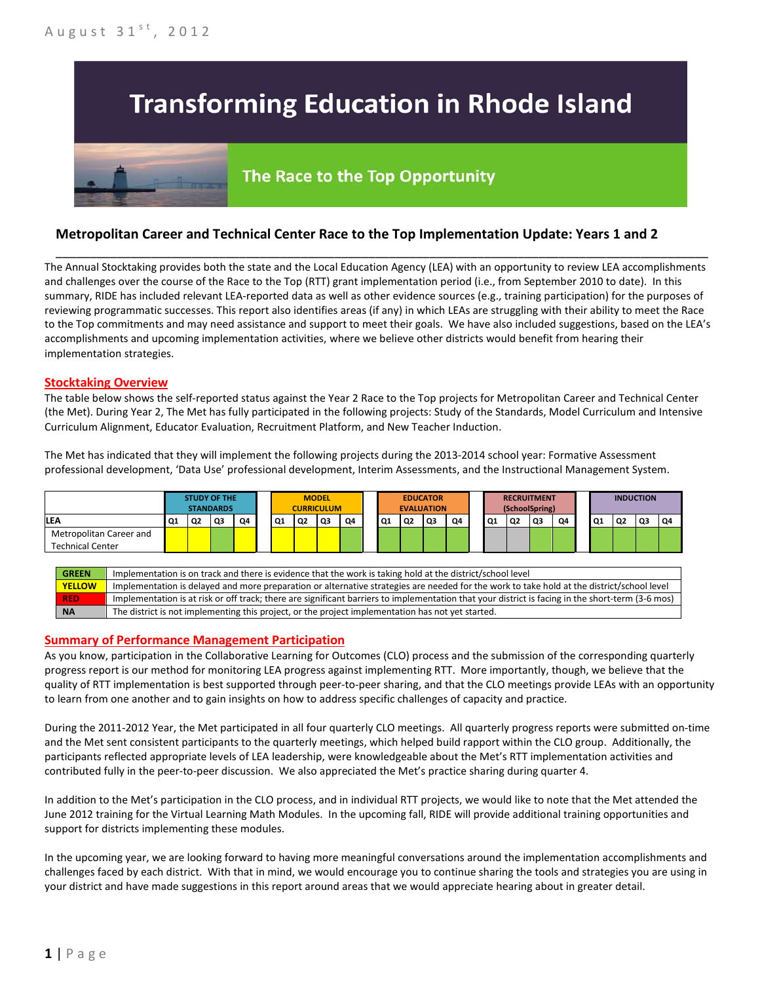# **Transforming Education in Rhode Island**

## The Race to the Top Opportunity

### **Metropolitan Career and Technical Center Race to the Top Implementation Update: Years 1 and 2**

The Annual Stocktaking provides both the state and the Local Education Agency (LEA) with an opportunity to review LEA accomplishments and challenges over the course of the Race to the Top (RTT) grant implementation period (i.e., from September 2010 to date). In this summary, RIDE has included relevant LEA-reported data as well as other evidence sources (e.g., training participation) for the purposes of reviewing programmatic successes. This report also identifies areas (if any) in which LEAs are struggling with their ability to meet the Race to the Top commitments and may need assistance and support to meet their goals. We have also included suggestions, based on the LEA's accomplishments and upcoming implementation activities, where we believe other districts would benefit from hearing their implementation strategies.

\_\_\_\_\_\_\_\_\_\_\_\_\_\_\_\_\_\_\_\_\_\_\_\_\_\_\_\_\_\_\_\_\_\_\_\_\_\_\_\_\_\_\_\_\_\_\_\_\_\_\_\_\_\_\_\_\_\_\_\_\_\_\_\_\_\_\_\_\_\_\_\_\_\_\_\_\_\_\_\_\_\_\_\_\_\_\_\_\_\_\_\_\_\_\_\_

#### **Stocktaking Overview**

The table below shows the self-reported status against the Year 2 Race to the Top projects for Metropolitan Career and Technical Center (the Met). During Year 2, The Met has fully participated in the following projects: Study of the Standards, Model Curriculum and Intensive Curriculum Alignment, Educator Evaluation, Recruitment Platform, and New Teacher Induction.

The Met has indicated that they will implement the following projects during the 2013-2014 school year: Formative Assessment professional development, 'Data Use' professional development, Interim Assessments, and the Instructional Management System.



| <b>GREEN</b>  | Implementation is on track and there is evidence that the work is taking hold at the district/school level                                        |
|---------------|---------------------------------------------------------------------------------------------------------------------------------------------------|
| <b>YELLOW</b> | Implementation is delayed and more preparation or alternative strategies are needed for the work to take hold at the district/school level        |
| <b>RED</b>    | Implementation is at risk or off track; there are significant barriers to implementation that your district is facing in the short-term (3-6 mos) |
| <b>NA</b>     | The district is not implementing this project, or the project implementation has not yet started.                                                 |

#### **Summary of Performance Management Participation**

As you know, participation in the Collaborative Learning for Outcomes (CLO) process and the submission of the corresponding quarterly progress report is our method for monitoring LEA progress against implementing RTT. More importantly, though, we believe that the quality of RTT implementation is best supported through peer-to-peer sharing, and that the CLO meetings provide LEAs with an opportunity to learn from one another and to gain insights on how to address specific challenges of capacity and practice.

During the 2011-2012 Year, the Met participated in all four quarterly CLO meetings. All quarterly progress reports were submitted on-time and the Met sent consistent participants to the quarterly meetings, which helped build rapport within the CLO group. Additionally, the participants reflected appropriate levels of LEA leadership, were knowledgeable about the Met's RTT implementation activities and contributed fully in the peer-to-peer discussion. We also appreciated the Met's practice sharing during quarter 4.

In addition to the Met's participation in the CLO process, and in individual RTT projects, we would like to note that the Met attended the June 2012 training for the Virtual Learning Math Modules. In the upcoming fall, RIDE will provide additional training opportunities and support for districts implementing these modules.

In the upcoming year, we are looking forward to having more meaningful conversations around the implementation accomplishments and challenges faced by each district. With that in mind, we would encourage you to continue sharing the tools and strategies you are using in your district and have made suggestions in this report around areas that we would appreciate hearing about in greater detail.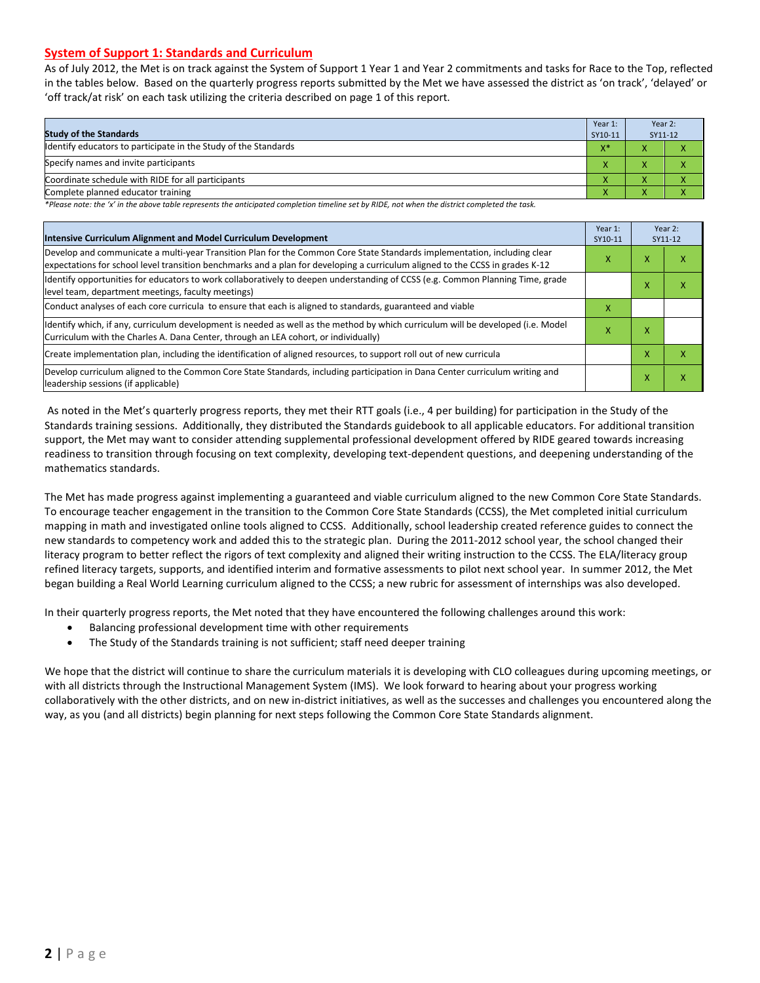#### **System of Support 1: Standards and Curriculum**

As of July 2012, the Met is on track against the System of Support 1 Year 1 and Year 2 commitments and tasks for Race to the Top, reflected in the tables below. Based on the quarterly progress reports submitted by the Met we have assessed the district as 'on track', 'delayed' or 'off track/at risk' on each task utilizing the criteria described on page 1 of this report.

| <b>Study of the Standards</b>                                   | Year 1:<br>SY10-11 | Year 2:<br>SY11-12                             |  |
|-----------------------------------------------------------------|--------------------|------------------------------------------------|--|
| Identify educators to participate in the Study of the Standards | $V^*$<br>^         | $\overline{\phantom{a}}$                       |  |
| Specify names and invite participants                           |                    |                                                |  |
| Coordinate schedule with RIDE for all participants              |                    |                                                |  |
| Complete planned educator training                              | $\mathbf{\Lambda}$ | $\overline{\phantom{a}}$<br>$\mathbf{\Lambda}$ |  |

*\*Please note: the 'x' in the above table represents the anticipated completion timeline set by RIDE, not when the district completed the task.*

| Intensive Curriculum Alignment and Model Curriculum Development                                                                                                                                                                                           |   |   | Year 2:<br>SY11-12 |
|-----------------------------------------------------------------------------------------------------------------------------------------------------------------------------------------------------------------------------------------------------------|---|---|--------------------|
| Develop and communicate a multi-year Transition Plan for the Common Core State Standards implementation, including clear<br>expectations for school level transition benchmarks and a plan for developing a curriculum aligned to the CCSS in grades K-12 | Χ | x | x                  |
| Identify opportunities for educators to work collaboratively to deepen understanding of CCSS (e.g. Common Planning Time, grade<br>level team, department meetings, faculty meetings)                                                                      |   |   | x                  |
| Conduct analyses of each core curricula to ensure that each is aligned to standards, guaranteed and viable                                                                                                                                                |   |   |                    |
| Identify which, if any, curriculum development is needed as well as the method by which curriculum will be developed (i.e. Model<br>Curriculum with the Charles A. Dana Center, through an LEA cohort, or individually)                                   |   |   |                    |
| Create implementation plan, including the identification of aligned resources, to support roll out of new curricula                                                                                                                                       |   |   | x                  |
| Develop curriculum aligned to the Common Core State Standards, including participation in Dana Center curriculum writing and<br>leadership sessions (if applicable)                                                                                       |   |   | x                  |

As noted in the Met's quarterly progress reports, they met their RTT goals (i.e., 4 per building) for participation in the Study of the Standards training sessions. Additionally, they distributed the Standards guidebook to all applicable educators. For additional transition support, the Met may want to consider attending supplemental professional development offered by RIDE geared towards increasing readiness to transition through focusing on text complexity, developing text-dependent questions, and deepening understanding of the mathematics standards.

The Met has made progress against implementing a guaranteed and viable curriculum aligned to the new Common Core State Standards. To encourage teacher engagement in the transition to the Common Core State Standards (CCSS), the Met completed initial curriculum mapping in math and investigated online tools aligned to CCSS. Additionally, school leadership created reference guides to connect the new standards to competency work and added this to the strategic plan. During the 2011-2012 school year, the school changed their literacy program to better reflect the rigors of text complexity and aligned their writing instruction to the CCSS. The ELA/literacy group refined literacy targets, supports, and identified interim and formative assessments to pilot next school year. In summer 2012, the Met began building a Real World Learning curriculum aligned to the CCSS; a new rubric for assessment of internships was also developed.

In their quarterly progress reports, the Met noted that they have encountered the following challenges around this work:

- Balancing professional development time with other requirements
- The Study of the Standards training is not sufficient; staff need deeper training

We hope that the district will continue to share the curriculum materials it is developing with CLO colleagues during upcoming meetings, or with all districts through the Instructional Management System (IMS). We look forward to hearing about your progress working collaboratively with the other districts, and on new in-district initiatives, as well as the successes and challenges you encountered along the way, as you (and all districts) begin planning for next steps following the Common Core State Standards alignment.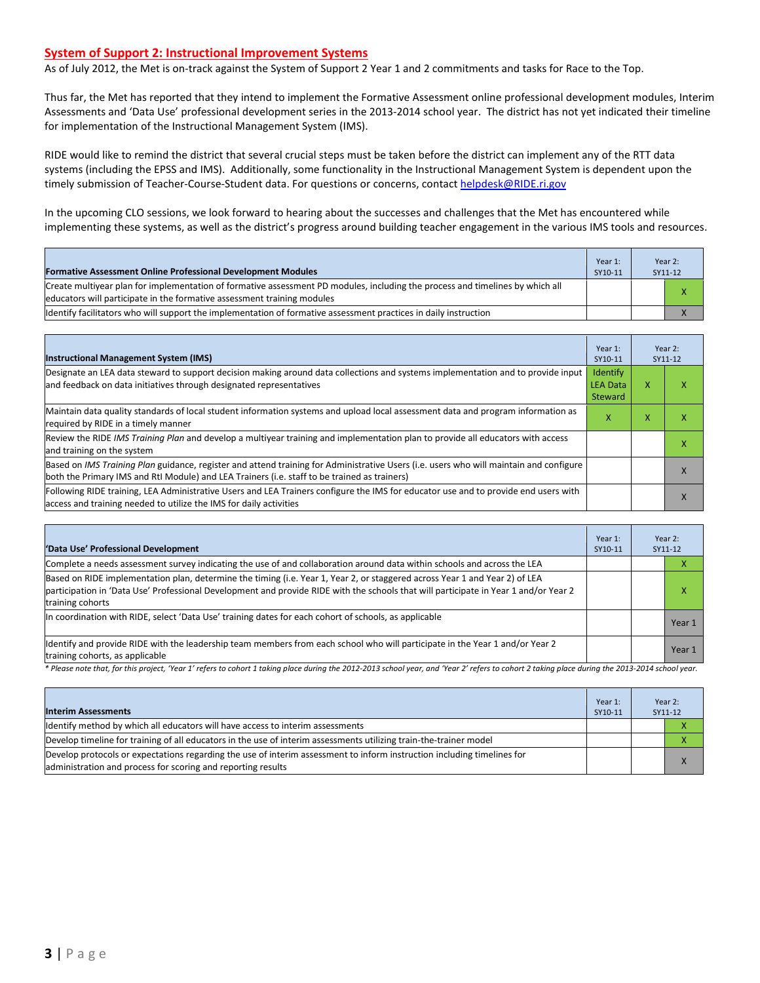#### **System of Support 2: Instructional Improvement Systems**

As of July 2012, the Met is on-track against the System of Support 2 Year 1 and 2 commitments and tasks for Race to the Top.

Thus far, the Met has reported that they intend to implement the Formative Assessment online professional development modules, Interim Assessments and 'Data Use' professional development series in the 2013-2014 school year. The district has not yet indicated their timeline for implementation of the Instructional Management System (IMS).

RIDE would like to remind the district that several crucial steps must be taken before the district can implement any of the RTT data systems (including the EPSS and IMS). Additionally, some functionality in the Instructional Management System is dependent upon the timely submission of Teacher-Course-Student data. For questions or concerns, contact [helpdesk@RIDE.ri.gov](mailto:helpdesk@RIDE.ri.gov)

In the upcoming CLO sessions, we look forward to hearing about the successes and challenges that the Met has encountered while implementing these systems, as well as the district's progress around building teacher engagement in the various IMS tools and resources.

| <b>Formative Assessment Online Professional Development Modules</b>                                                                                                                                      | Year $1$ :<br>SY10-11 | Year 2:<br>SY11-12 |
|----------------------------------------------------------------------------------------------------------------------------------------------------------------------------------------------------------|-----------------------|--------------------|
| Create multivear plan for implementation of formative assessment PD modules, including the process and timelines by which all<br>educators will participate in the formative assessment training modules |                       |                    |
| ldentify facilitators who will support the implementation of formative assessment practices in daily instruction                                                                                         |                       |                    |

| <b>Instructional Management System (IMS)</b>                                                                                                                                                                                           | Year 1:<br>SY10-11                     |   | Year 2:<br>SY11-12 |
|----------------------------------------------------------------------------------------------------------------------------------------------------------------------------------------------------------------------------------------|----------------------------------------|---|--------------------|
| Designate an LEA data steward to support decision making around data collections and systems implementation and to provide input<br>and feedback on data initiatives through designated representatives                                | Identify<br><b>LEA Data</b><br>Steward | x | ⋏                  |
| Maintain data quality standards of local student information systems and upload local assessment data and program information as<br>required by RIDE in a timely manner                                                                |                                        | x |                    |
| Review the RIDE IMS Training Plan and develop a multivear training and implementation plan to provide all educators with access<br>and training on the system                                                                          |                                        |   |                    |
| Based on IMS Training Plan guidance, register and attend training for Administrative Users (i.e. users who will maintain and configure<br>both the Primary IMS and RtI Module) and LEA Trainers (i.e. staff to be trained as trainers) |                                        |   |                    |
| Following RIDE training, LEA Administrative Users and LEA Trainers configure the IMS for educator use and to provide end users with<br>access and training needed to utilize the IMS for daily activities                              |                                        |   |                    |

| 'Data Use' Professional Development                                                                                                                                                                                                                                                     |  |  | Year 2:<br>SY11-12 |  |
|-----------------------------------------------------------------------------------------------------------------------------------------------------------------------------------------------------------------------------------------------------------------------------------------|--|--|--------------------|--|
| Complete a needs assessment survey indicating the use of and collaboration around data within schools and across the LEA                                                                                                                                                                |  |  | ∧                  |  |
| Based on RIDE implementation plan, determine the timing (i.e. Year 1, Year 2, or staggered across Year 1 and Year 2) of LEA<br>participation in 'Data Use' Professional Development and provide RIDE with the schools that will participate in Year 1 and/or Year 2<br>training cohorts |  |  | x                  |  |
| In coordination with RIDE, select 'Data Use' training dates for each cohort of schools, as applicable                                                                                                                                                                                   |  |  | Year 1             |  |
| ldentify and provide RIDE with the leadership team members from each school who will participate in the Year 1 and/or Year 2<br>training cohorts, as applicable                                                                                                                         |  |  | Year 1             |  |

*\* Please note that, for this project, 'Year 1' refers to cohort 1 taking place during the 2012-2013 school year, and 'Year 2' refers to cohort 2 taking place during the 2013-2014 school year.*

| <b>Interim Assessments</b>                                                                                                                                                              | Year 1:<br>SY10-11 | Year 2:<br>SY11-12 |
|-----------------------------------------------------------------------------------------------------------------------------------------------------------------------------------------|--------------------|--------------------|
| Identify method by which all educators will have access to interim assessments                                                                                                          |                    |                    |
| Develop timeline for training of all educators in the use of interim assessments utilizing train-the-trainer model                                                                      |                    |                    |
| Develop protocols or expectations regarding the use of interim assessment to inform instruction including timelines for<br>administration and process for scoring and reporting results |                    |                    |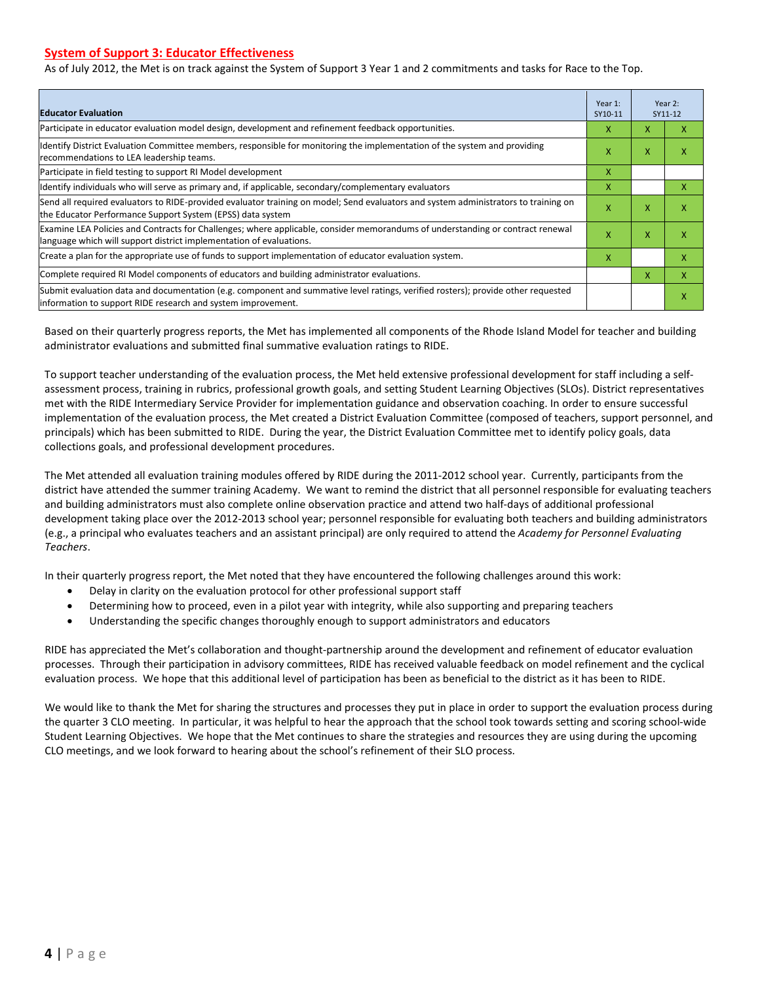#### **System of Support 3: Educator Effectiveness**

As of July 2012, the Met is on track against the System of Support 3 Year 1 and 2 commitments and tasks for Race to the Top.

| <b>Educator Evaluation</b>                                                                                                                                                                            |  |   | Year 2:<br>SY11-12 |  |
|-------------------------------------------------------------------------------------------------------------------------------------------------------------------------------------------------------|--|---|--------------------|--|
| Participate in educator evaluation model design, development and refinement feedback opportunities.                                                                                                   |  | X | x                  |  |
| Identify District Evaluation Committee members, responsible for monitoring the implementation of the system and providing<br>recommendations to LEA leadership teams.                                 |  |   | χ                  |  |
| Participate in field testing to support RI Model development                                                                                                                                          |  |   |                    |  |
| Identify individuals who will serve as primary and, if applicable, secondary/complementary evaluators                                                                                                 |  |   | x                  |  |
| Send all required evaluators to RIDE-provided evaluator training on model; Send evaluators and system administrators to training on<br>the Educator Performance Support System (EPSS) data system     |  |   | χ                  |  |
| Examine LEA Policies and Contracts for Challenges; where applicable, consider memorandums of understanding or contract renewal<br>language which will support district implementation of evaluations. |  | X | x                  |  |
| Create a plan for the appropriate use of funds to support implementation of educator evaluation system.                                                                                               |  |   | x                  |  |
| Complete required RI Model components of educators and building administrator evaluations.                                                                                                            |  |   | X                  |  |
| Submit evaluation data and documentation (e.g. component and summative level ratings, verified rosters); provide other requested<br>information to support RIDE research and system improvement.      |  |   | χ                  |  |

Based on their quarterly progress reports, the Met has implemented all components of the Rhode Island Model for teacher and building administrator evaluations and submitted final summative evaluation ratings to RIDE.

To support teacher understanding of the evaluation process, the Met held extensive professional development for staff including a selfassessment process, training in rubrics, professional growth goals, and setting Student Learning Objectives (SLOs). District representatives met with the RIDE Intermediary Service Provider for implementation guidance and observation coaching. In order to ensure successful implementation of the evaluation process, the Met created a District Evaluation Committee (composed of teachers, support personnel, and principals) which has been submitted to RIDE. During the year, the District Evaluation Committee met to identify policy goals, data collections goals, and professional development procedures.

The Met attended all evaluation training modules offered by RIDE during the 2011-2012 school year. Currently, participants from the district have attended the summer training Academy. We want to remind the district that all personnel responsible for evaluating teachers and building administrators must also complete online observation practice and attend two half-days of additional professional development taking place over the 2012-2013 school year; personnel responsible for evaluating both teachers and building administrators (e.g., a principal who evaluates teachers and an assistant principal) are only required to attend the *Academy for Personnel Evaluating Teachers*.

In their quarterly progress report, the Met noted that they have encountered the following challenges around this work:

- Delay in clarity on the evaluation protocol for other professional support staff
- Determining how to proceed, even in a pilot year with integrity, while also supporting and preparing teachers
- Understanding the specific changes thoroughly enough to support administrators and educators

RIDE has appreciated the Met's collaboration and thought-partnership around the development and refinement of educator evaluation processes. Through their participation in advisory committees, RIDE has received valuable feedback on model refinement and the cyclical evaluation process. We hope that this additional level of participation has been as beneficial to the district as it has been to RIDE.

We would like to thank the Met for sharing the structures and processes they put in place in order to support the evaluation process during the quarter 3 CLO meeting. In particular, it was helpful to hear the approach that the school took towards setting and scoring school-wide Student Learning Objectives. We hope that the Met continues to share the strategies and resources they are using during the upcoming CLO meetings, and we look forward to hearing about the school's refinement of their SLO process.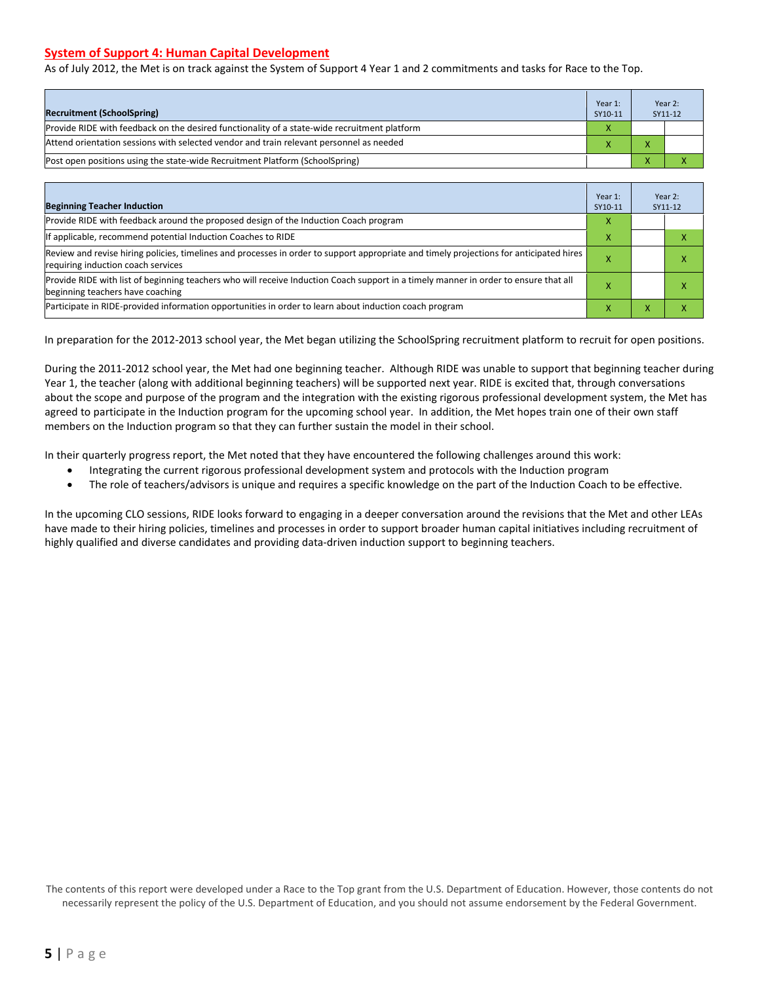#### **System of Support 4: Human Capital Development**

As of July 2012, the Met is on track against the System of Support 4 Year 1 and 2 commitments and tasks for Race to the Top.

| <b>Recruitment (SchoolSpring)</b>                                                            | Year 1:<br>SY10-11 | Year 2:<br>SY11-12 |
|----------------------------------------------------------------------------------------------|--------------------|--------------------|
| Provide RIDE with feedback on the desired functionality of a state-wide recruitment platform |                    |                    |
| Attend orientation sessions with selected vendor and train relevant personnel as needed      |                    |                    |
| [Post open positions using the state-wide Recruitment Platform (SchoolSpring)                |                    |                    |

| <b>Beginning Teacher Induction</b>                                                                                                                                            |   |                | Year 2:<br>SY11-12 |
|-------------------------------------------------------------------------------------------------------------------------------------------------------------------------------|---|----------------|--------------------|
| Provide RIDE with feedback around the proposed design of the Induction Coach program                                                                                          | x |                |                    |
| If applicable, recommend potential Induction Coaches to RIDE                                                                                                                  | x |                |                    |
| Review and revise hiring policies, timelines and processes in order to support appropriate and timely projections for anticipated hires<br>requiring induction coach services |   |                |                    |
| Provide RIDE with list of beginning teachers who will receive Induction Coach support in a timely manner in order to ensure that all<br>beginning teachers have coaching      |   |                |                    |
| Participate in RIDE-provided information opportunities in order to learn about induction coach program                                                                        | л | $\overline{ }$ |                    |

In preparation for the 2012-2013 school year, the Met began utilizing the SchoolSpring recruitment platform to recruit for open positions.

During the 2011-2012 school year, the Met had one beginning teacher. Although RIDE was unable to support that beginning teacher during Year 1, the teacher (along with additional beginning teachers) will be supported next year. RIDE is excited that, through conversations about the scope and purpose of the program and the integration with the existing rigorous professional development system, the Met has agreed to participate in the Induction program for the upcoming school year. In addition, the Met hopes train one of their own staff members on the Induction program so that they can further sustain the model in their school.

In their quarterly progress report, the Met noted that they have encountered the following challenges around this work:

- Integrating the current rigorous professional development system and protocols with the Induction program
- The role of teachers/advisors is unique and requires a specific knowledge on the part of the Induction Coach to be effective.

In the upcoming CLO sessions, RIDE looks forward to engaging in a deeper conversation around the revisions that the Met and other LEAs have made to their hiring policies, timelines and processes in order to support broader human capital initiatives including recruitment of highly qualified and diverse candidates and providing data-driven induction support to beginning teachers.

The contents of this report were developed under a Race to the Top grant from the U.S. Department of Education. However, those contents do not necessarily represent the policy of the U.S. Department of Education, and you should not assume endorsement by the Federal Government.